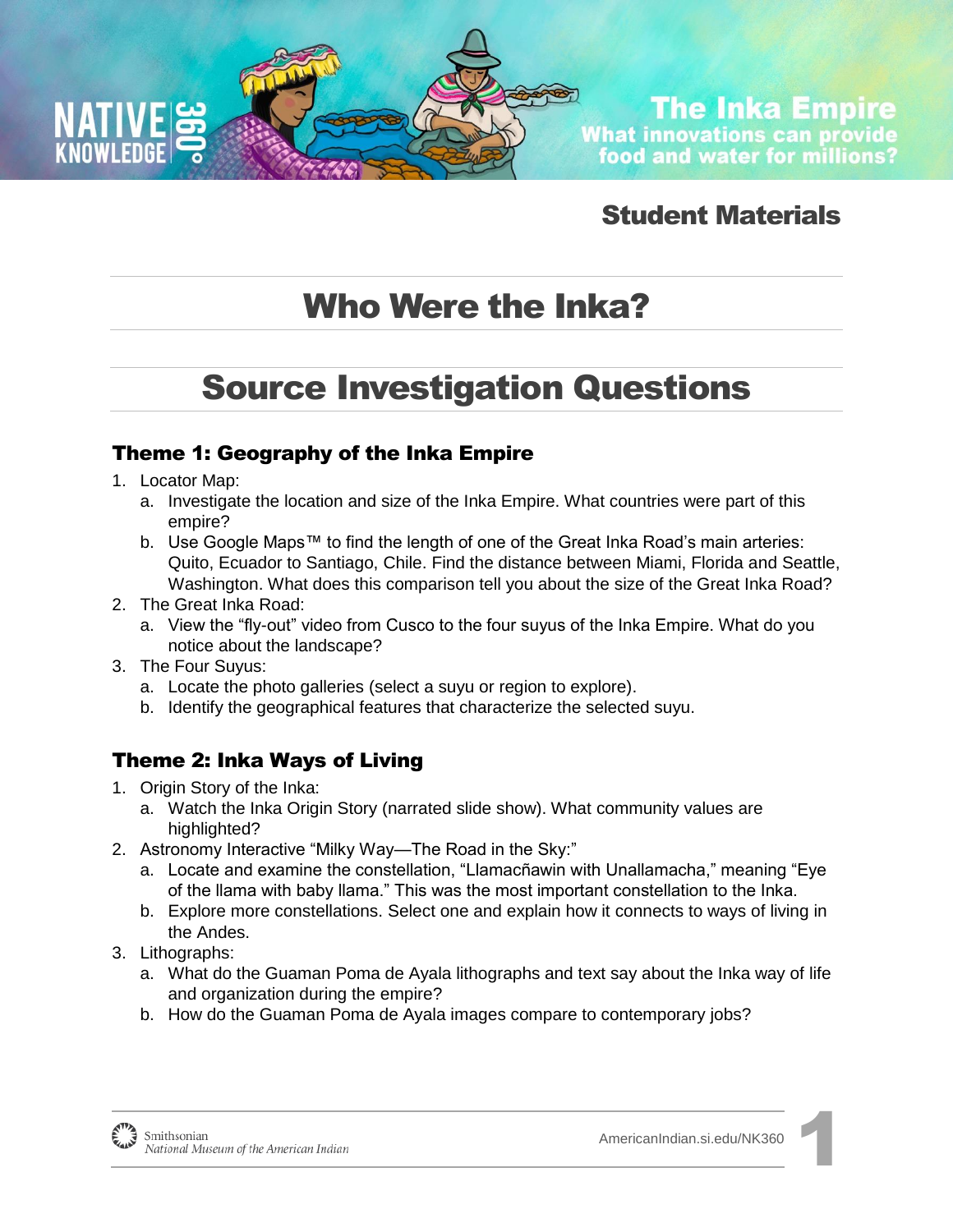

**The Inka Empire What innovations can provide** food and water for millions?

### Student Materials

# Who Were the Inka?

# Source Investigation Questions

#### Theme 1: Geography of the Inka Empire

- 1. Locator Map:
	- a. Investigate the location and size of the Inka Empire. What countries were part of this empire?
	- b. Use Google Maps™ to find the length of one of the Great Inka Road's main arteries: Quito, Ecuador to Santiago, Chile. Find the distance between Miami, Florida and Seattle, Washington. What does this comparison tell you about the size of the Great Inka Road?
- 2. The Great Inka Road:
	- a. View the "fly-out" video from Cusco to the four suyus of the Inka Empire. What do you notice about the landscape?
- 3. The Four Suyus:
	- a. Locate the photo galleries (select a suyu or region to explore).
	- b. Identify the geographical features that characterize the selected suyu.

#### Theme 2: Inka Ways of Living

- 1. Origin Story of the Inka:
	- a. Watch the Inka Origin Story (narrated slide show). What community values are highlighted?
- 2. Astronomy Interactive "Milky Way—The Road in the Sky:"
	- a. Locate and examine the constellation, "Llamacñawin with Unallamacha," meaning "Eye of the llama with baby llama." This was the most important constellation to the Inka.
	- b. Explore more constellations. Select one and explain how it connects to ways of living in the Andes.
- 3. Lithographs:
	- a. What do the Guaman Poma de Ayala lithographs and text say about the Inka way of life and organization during the empire?
	- b. How do the Guaman Poma de Ayala images compare to contemporary jobs?

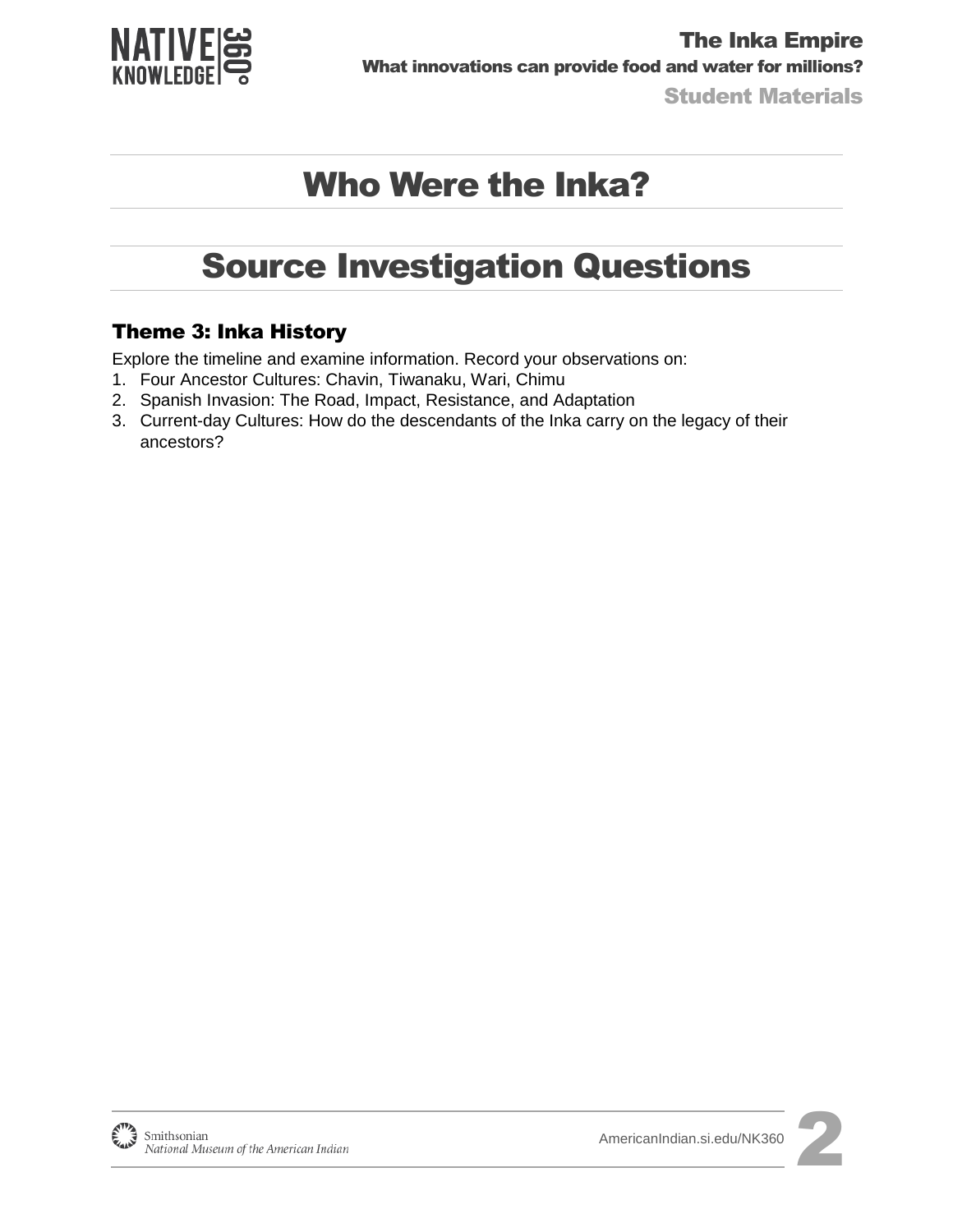

Student Materials

# Who Were the Inka?

### Source Investigation Questions

#### Theme 3: Inka History

Explore the timeline and examine information. Record your observations on:

- 1. Four Ancestor Cultures: Chavin, Tiwanaku, Wari, Chimu
- 2. Spanish Invasion: The Road, Impact, Resistance, and Adaptation
- 3. Current-day Cultures: How do the descendants of the Inka carry on the legacy of their ancestors?

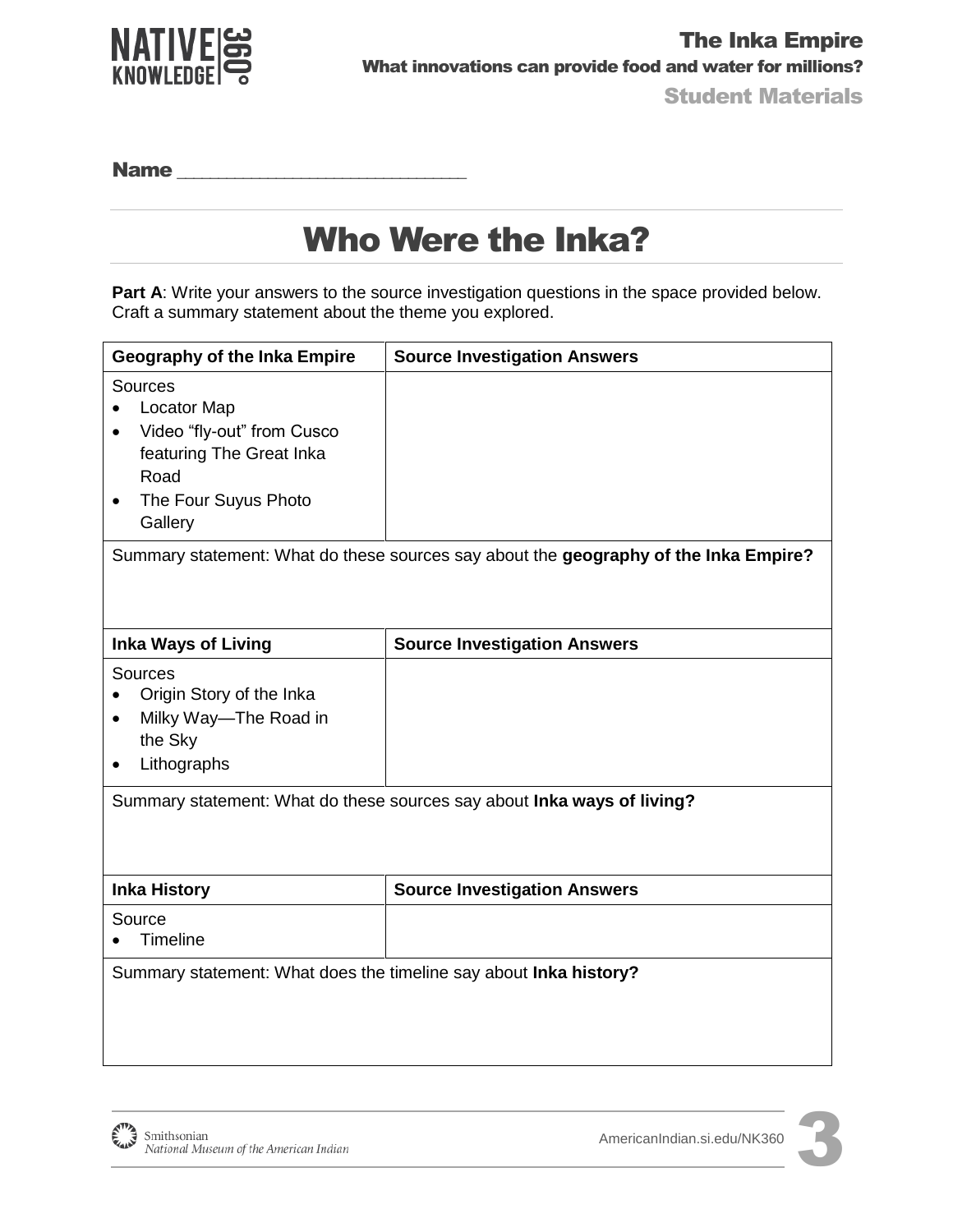

Name \_\_\_\_\_\_\_\_\_\_\_\_\_\_\_\_\_\_\_\_\_\_\_\_\_\_\_\_\_\_\_\_\_\_\_

## Who Were the Inka?

**Part A:** Write your answers to the source investigation questions in the space provided below. Craft a summary statement about the theme you explored.

| Geography of the Inka Empire                                                                                                                    | <b>Source Investigation Answers</b> |
|-------------------------------------------------------------------------------------------------------------------------------------------------|-------------------------------------|
| Sources<br><b>Locator Map</b><br>Video "fly-out" from Cusco<br>featuring The Great Inka<br>Road<br>The Four Suyus Photo<br>$\bullet$<br>Gallery |                                     |
| Summary statement: What do these sources say about the geography of the Inka Empire?                                                            |                                     |
| <b>Inka Ways of Living</b>                                                                                                                      | <b>Source Investigation Answers</b> |
| Sources<br>Origin Story of the Inka<br>Milky Way-The Road in<br>the Sky<br>Lithographs                                                          |                                     |
| Summary statement: What do these sources say about Inka ways of living?                                                                         |                                     |
| <b>Inka History</b>                                                                                                                             | <b>Source Investigation Answers</b> |
| Source<br><b>Timeline</b>                                                                                                                       |                                     |
| Summary statement: What does the timeline say about Inka history?                                                                               |                                     |